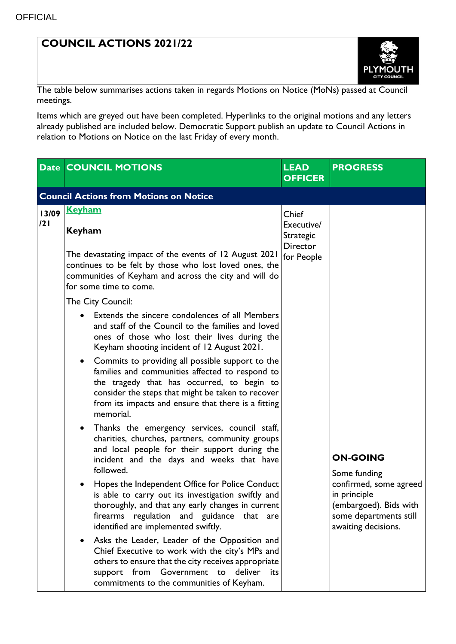## **COUNCIL ACTIONS 2021/22**



The table below summarises actions taken in regards Motions on Notice (MoNs) passed at Council meetings.

Items which are greyed out have been completed. Hyperlinks to the original motions and any letters already published are included below. Democratic Support publish an update to Council Actions in relation to Motions on Notice on the last Friday of every month.

|              | <b>Date COUNCIL MOTIONS</b>                                                                                                                                                                                                                                                                                                                                                                                                                                                                                                                                                                                                                                                                                                                                                                                                                            | <b>LEAD</b><br><b>OFFICER</b>                                            | <b>PROGRESS</b>                                                                                                                                      |  |  |
|--------------|--------------------------------------------------------------------------------------------------------------------------------------------------------------------------------------------------------------------------------------------------------------------------------------------------------------------------------------------------------------------------------------------------------------------------------------------------------------------------------------------------------------------------------------------------------------------------------------------------------------------------------------------------------------------------------------------------------------------------------------------------------------------------------------------------------------------------------------------------------|--------------------------------------------------------------------------|------------------------------------------------------------------------------------------------------------------------------------------------------|--|--|
|              | <b>Council Actions from Motions on Notice</b>                                                                                                                                                                                                                                                                                                                                                                                                                                                                                                                                                                                                                                                                                                                                                                                                          |                                                                          |                                                                                                                                                      |  |  |
| 13/09<br>121 | <b>Keyham</b><br><b>Keyham</b><br>The devastating impact of the events of 12 August 2021<br>continues to be felt by those who lost loved ones, the<br>communities of Keyham and across the city and will do<br>for some time to come.<br>The City Council:<br>Extends the sincere condolences of all Members<br>and staff of the Council to the families and loved<br>ones of those who lost their lives during the<br>Keyham shooting incident of 12 August 2021.<br>• Commits to providing all possible support to the<br>families and communities affected to respond to<br>the tragedy that has occurred, to begin to<br>consider the steps that might be taken to recover<br>from its impacts and ensure that there is a fitting<br>memorial.<br>Thanks the emergency services, council staff,<br>charities, churches, partners, community groups | Chief<br>Executive/<br><b>Strategic</b><br><b>Director</b><br>for People |                                                                                                                                                      |  |  |
|              | and local people for their support during the<br>incident and the days and weeks that have<br>followed.<br>Hopes the Independent Office for Police Conduct<br>is able to carry out its investigation swiftly and<br>thoroughly, and that any early changes in current<br>firearms regulation and guidance that are<br>identified are implemented swiftly.<br>Asks the Leader, Leader of the Opposition and<br>Chief Executive to work with the city's MPs and                                                                                                                                                                                                                                                                                                                                                                                          |                                                                          | <b>ON-GOING</b><br>Some funding<br>confirmed, some agreed<br>in principle<br>(embargoed). Bids with<br>some departments still<br>awaiting decisions. |  |  |
|              | others to ensure that the city receives appropriate<br>support from Government to deliver<br>its<br>commitments to the communities of Keyham.                                                                                                                                                                                                                                                                                                                                                                                                                                                                                                                                                                                                                                                                                                          |                                                                          |                                                                                                                                                      |  |  |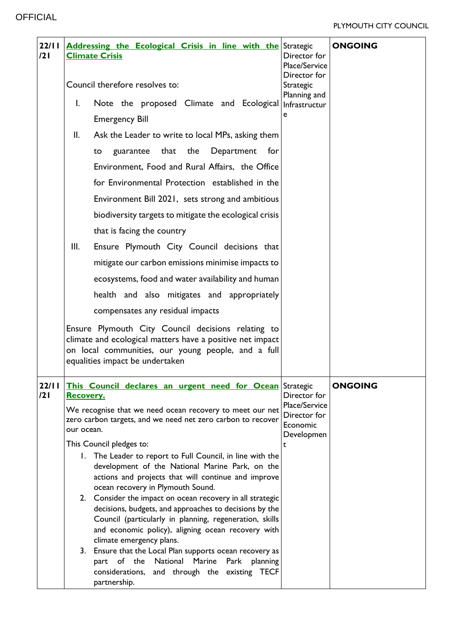## PLYMOUTH CITY COUNCIL

| 22/11<br>121 |            | <b>Addressing the Ecological Crisis in line with the Strategic</b><br><b>Climate Crisis</b>                                                                                                                                                                                                                                                                                                                                                                                                                                                                                                                                                                                                                                                                                                                         | Director for<br>Place/Service<br>Director for                | <b>ONGOING</b> |
|--------------|------------|---------------------------------------------------------------------------------------------------------------------------------------------------------------------------------------------------------------------------------------------------------------------------------------------------------------------------------------------------------------------------------------------------------------------------------------------------------------------------------------------------------------------------------------------------------------------------------------------------------------------------------------------------------------------------------------------------------------------------------------------------------------------------------------------------------------------|--------------------------------------------------------------|----------------|
|              |            | Council therefore resolves to:                                                                                                                                                                                                                                                                                                                                                                                                                                                                                                                                                                                                                                                                                                                                                                                      | Strategic<br>Planning and                                    |                |
|              | I.         | Note the proposed Climate and Ecological                                                                                                                                                                                                                                                                                                                                                                                                                                                                                                                                                                                                                                                                                                                                                                            | Infrastructur                                                |                |
|              |            | <b>Emergency Bill</b>                                                                                                                                                                                                                                                                                                                                                                                                                                                                                                                                                                                                                                                                                                                                                                                               | e                                                            |                |
|              | II.        | Ask the Leader to write to local MPs, asking them                                                                                                                                                                                                                                                                                                                                                                                                                                                                                                                                                                                                                                                                                                                                                                   |                                                              |                |
|              |            | that the<br>Department<br>for<br>guarantee<br>to                                                                                                                                                                                                                                                                                                                                                                                                                                                                                                                                                                                                                                                                                                                                                                    |                                                              |                |
|              |            | Environment, Food and Rural Affairs, the Office                                                                                                                                                                                                                                                                                                                                                                                                                                                                                                                                                                                                                                                                                                                                                                     |                                                              |                |
|              |            | for Environmental Protection established in the                                                                                                                                                                                                                                                                                                                                                                                                                                                                                                                                                                                                                                                                                                                                                                     |                                                              |                |
|              |            | Environment Bill 2021, sets strong and ambitious                                                                                                                                                                                                                                                                                                                                                                                                                                                                                                                                                                                                                                                                                                                                                                    |                                                              |                |
|              |            | biodiversity targets to mitigate the ecological crisis                                                                                                                                                                                                                                                                                                                                                                                                                                                                                                                                                                                                                                                                                                                                                              |                                                              |                |
|              |            | that is facing the country                                                                                                                                                                                                                                                                                                                                                                                                                                                                                                                                                                                                                                                                                                                                                                                          |                                                              |                |
|              | III.       | Ensure Plymouth City Council decisions that                                                                                                                                                                                                                                                                                                                                                                                                                                                                                                                                                                                                                                                                                                                                                                         |                                                              |                |
|              |            | mitigate our carbon emissions minimise impacts to                                                                                                                                                                                                                                                                                                                                                                                                                                                                                                                                                                                                                                                                                                                                                                   |                                                              |                |
|              |            | ecosystems, food and water availability and human                                                                                                                                                                                                                                                                                                                                                                                                                                                                                                                                                                                                                                                                                                                                                                   |                                                              |                |
|              |            | health and also mitigates and appropriately                                                                                                                                                                                                                                                                                                                                                                                                                                                                                                                                                                                                                                                                                                                                                                         |                                                              |                |
|              |            | compensates any residual impacts                                                                                                                                                                                                                                                                                                                                                                                                                                                                                                                                                                                                                                                                                                                                                                                    |                                                              |                |
|              |            | Ensure Plymouth City Council decisions relating to<br>climate and ecological matters have a positive net impact<br>on local communities, our young people, and a full<br>equalities impact be undertaken                                                                                                                                                                                                                                                                                                                                                                                                                                                                                                                                                                                                            |                                                              |                |
| 22/11<br>121 | Recovery.  | This Council declares an urgent need for Ocean Strategic                                                                                                                                                                                                                                                                                                                                                                                                                                                                                                                                                                                                                                                                                                                                                            | Director for                                                 | <b>ONGOING</b> |
|              | our ocean. | We recognise that we need ocean recovery to meet our net<br>zero carbon targets, and we need net zero carbon to recover<br>This Council pledges to:<br>1. The Leader to report to Full Council, in line with the<br>development of the National Marine Park, on the<br>actions and projects that will continue and improve<br>ocean recovery in Plymouth Sound.<br>2. Consider the impact on ocean recovery in all strategic<br>decisions, budgets, and approaches to decisions by the<br>Council (particularly in planning, regeneration, skills<br>and economic policy), aligning ocean recovery with<br>climate emergency plans.<br>3. Ensure that the Local Plan supports ocean recovery as<br>part of the National Marine<br>Park<br>planning<br>considerations, and through the existing TECF<br>partnership. | Place/Service<br>Director for<br>Economic<br>Developmen<br>t |                |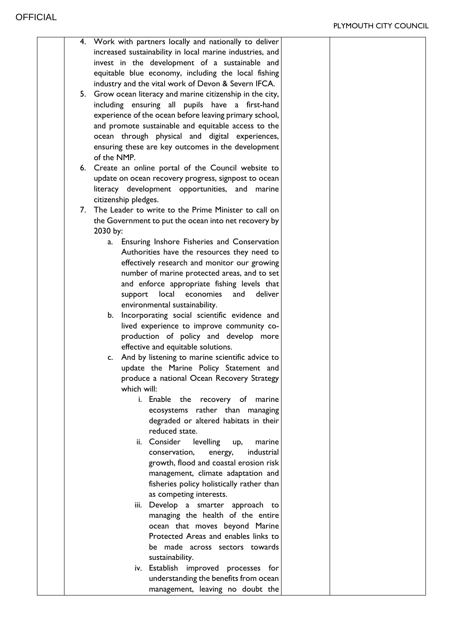|  | 4. Work with partners locally and nationally to deliver    |  |
|--|------------------------------------------------------------|--|
|  | increased sustainability in local marine industries, and   |  |
|  | invest in the development of a sustainable and             |  |
|  | equitable blue economy, including the local fishing        |  |
|  | industry and the vital work of Devon & Severn IFCA.        |  |
|  |                                                            |  |
|  | 5. Grow ocean literacy and marine citizenship in the city, |  |
|  | including ensuring all pupils have a first-hand            |  |
|  | experience of the ocean before leaving primary school,     |  |
|  | and promote sustainable and equitable access to the        |  |
|  | ocean through physical and digital experiences,            |  |
|  | ensuring these are key outcomes in the development         |  |
|  | of the NMP.                                                |  |
|  | 6. Create an online portal of the Council website to       |  |
|  | update on ocean recovery progress, signpost to ocean       |  |
|  | literacy development opportunities, and marine             |  |
|  | citizenship pledges.                                       |  |
|  | 7. The Leader to write to the Prime Minister to call on    |  |
|  |                                                            |  |
|  | the Government to put the ocean into net recovery by       |  |
|  | 2030 by:                                                   |  |
|  | Ensuring Inshore Fisheries and Conservation<br>a.          |  |
|  | Authorities have the resources they need to                |  |
|  | effectively research and monitor our growing               |  |
|  | number of marine protected areas, and to set               |  |
|  | and enforce appropriate fishing levels that                |  |
|  | deliver<br>economies<br>and<br>local<br>support            |  |
|  | environmental sustainability.                              |  |
|  | Incorporating social scientific evidence and<br>b.         |  |
|  | lived experience to improve community co-                  |  |
|  | production of policy and develop more                      |  |
|  | effective and equitable solutions.                         |  |
|  |                                                            |  |
|  | c. And by listening to marine scientific advice to         |  |
|  | update the Marine Policy Statement and                     |  |
|  | produce a national Ocean Recovery Strategy                 |  |
|  | which will:                                                |  |
|  | i. Enable the recovery of marine                           |  |
|  | ecosystems rather than managing                            |  |
|  | degraded or altered habitats in their                      |  |
|  | reduced state.                                             |  |
|  | ii. Consider<br>levelling<br>marine<br>up,                 |  |
|  | industrial<br>conservation,<br>energy,                     |  |
|  | growth, flood and coastal erosion risk                     |  |
|  | management, climate adaptation and                         |  |
|  | fisheries policy holistically rather than                  |  |
|  | as competing interests.                                    |  |
|  | iii. Develop a smarter approach to                         |  |
|  |                                                            |  |
|  | managing the health of the entire                          |  |
|  | ocean that moves beyond Marine                             |  |
|  | Protected Areas and enables links to                       |  |
|  | be made across sectors towards                             |  |
|  | sustainability.                                            |  |
|  | iv. Establish improved processes for                       |  |
|  | understanding the benefits from ocean                      |  |
|  | management, leaving no doubt the                           |  |
|  |                                                            |  |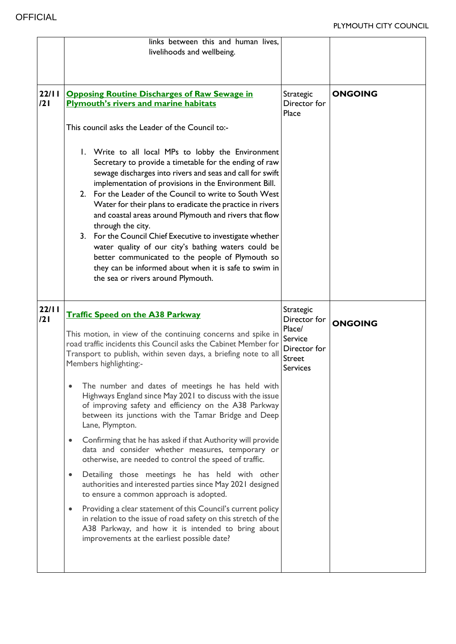|              | links between this and human lives.<br>livelihoods and wellbeing.                                                                                                                                                                                                                                                                                                                                                                                                                                                                                                                                                                                                                                                |                                                                                |                |
|--------------|------------------------------------------------------------------------------------------------------------------------------------------------------------------------------------------------------------------------------------------------------------------------------------------------------------------------------------------------------------------------------------------------------------------------------------------------------------------------------------------------------------------------------------------------------------------------------------------------------------------------------------------------------------------------------------------------------------------|--------------------------------------------------------------------------------|----------------|
| 22/11<br>121 | <b>Opposing Routine Discharges of Raw Sewage in</b><br><b>Plymouth's rivers and marine habitats</b>                                                                                                                                                                                                                                                                                                                                                                                                                                                                                                                                                                                                              | Strategic<br>Director for<br>Place                                             | <b>ONGOING</b> |
|              | This council asks the Leader of the Council to:-                                                                                                                                                                                                                                                                                                                                                                                                                                                                                                                                                                                                                                                                 |                                                                                |                |
|              | 1. Write to all local MPs to lobby the Environment<br>Secretary to provide a timetable for the ending of raw<br>sewage discharges into rivers and seas and call for swift<br>implementation of provisions in the Environment Bill.<br>2. For the Leader of the Council to write to South West<br>Water for their plans to eradicate the practice in rivers<br>and coastal areas around Plymouth and rivers that flow<br>through the city.<br>3. For the Council Chief Executive to investigate whether<br>water quality of our city's bathing waters could be<br>better communicated to the people of Plymouth so<br>they can be informed about when it is safe to swim in<br>the sea or rivers around Plymouth. |                                                                                |                |
| 22/11        |                                                                                                                                                                                                                                                                                                                                                                                                                                                                                                                                                                                                                                                                                                                  | Strategic                                                                      |                |
| 121          | <b>Traffic Speed on the A38 Parkway</b><br>This motion, in view of the continuing concerns and spike in<br>road traffic incidents this Council asks the Cabinet Member for<br>Transport to publish, within seven days, a briefing note to all<br>Members highlighting:-                                                                                                                                                                                                                                                                                                                                                                                                                                          | Director for<br>Place/<br>Service<br>Director for<br>Street<br><b>Services</b> | <b>ONGOING</b> |
|              | The number and dates of meetings he has held with<br>Highways England since May 2021 to discuss with the issue<br>of improving safety and efficiency on the A38 Parkway<br>between its junctions with the Tamar Bridge and Deep<br>Lane, Plympton.                                                                                                                                                                                                                                                                                                                                                                                                                                                               |                                                                                |                |
|              | Confirming that he has asked if that Authority will provide<br>data and consider whether measures, temporary or<br>otherwise, are needed to control the speed of traffic.                                                                                                                                                                                                                                                                                                                                                                                                                                                                                                                                        |                                                                                |                |
|              | Detailing those meetings he has held with other<br>٠<br>authorities and interested parties since May 2021 designed<br>to ensure a common approach is adopted.                                                                                                                                                                                                                                                                                                                                                                                                                                                                                                                                                    |                                                                                |                |